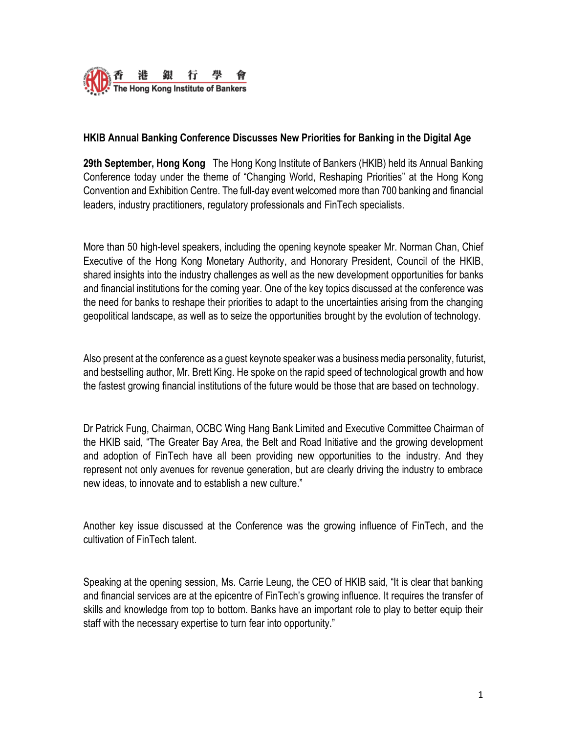

### **HKIB Annual Banking Conference Discusses New Priorities for Banking in the Digital Age**

**29th September, Hong Kong** The Hong Kong Institute of Bankers (HKIB) held its Annual Banking Conference today under the theme of "Changing World, Reshaping Priorities" at the Hong Kong Convention and Exhibition Centre. The full-day event welcomed more than 700 banking and financial leaders, industry practitioners, regulatory professionals and FinTech specialists.

More than 50 high-level speakers, including the opening keynote speaker Mr. Norman Chan, Chief Executive of the Hong Kong Monetary Authority, and Honorary President, Council of the HKIB, shared insights into the industry challenges as well as the new development opportunities for banks and financial institutions for the coming year. One of the key topics discussed at the conference was the need for banks to reshape their priorities to adapt to the uncertainties arising from the changing geopolitical landscape, as well as to seize the opportunities brought by the evolution of technology.

Also present at the conference as a guest keynote speaker was a business media personality, futurist, and bestselling author, Mr. Brett King. He spoke on the rapid speed of technological growth and how the fastest growing financial institutions of the future would be those that are based on technology.

Dr Patrick Fung, Chairman, OCBC Wing Hang Bank Limited and Executive Committee Chairman of the HKIB said, "The Greater Bay Area, the Belt and Road Initiative and the growing development and adoption of FinTech have all been providing new opportunities to the industry. And they represent not only avenues for revenue generation, but are clearly driving the industry to embrace new ideas, to innovate and to establish a new culture."

Another key issue discussed at the Conference was the growing influence of FinTech, and the cultivation of FinTech talent.

Speaking at the opening session, Ms. Carrie Leung, the CEO of HKIB said, "It is clear that banking and financial services are at the epicentre of FinTech's growing influence. It requires the transfer of skills and knowledge from top to bottom. Banks have an important role to play to better equip their staff with the necessary expertise to turn fear into opportunity."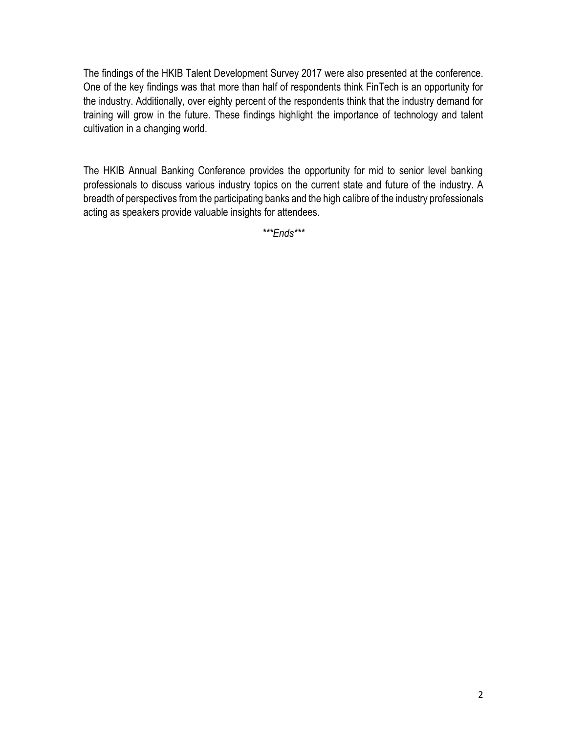The findings of the HKIB Talent Development Survey 2017 were also presented at the conference. One of the key findings was that more than half of respondents think FinTech is an opportunity for the industry. Additionally, over eighty percent of the respondents think that the industry demand for training will grow in the future. These findings highlight the importance of technology and talent cultivation in a changing world.

The HKIB Annual Banking Conference provides the opportunity for mid to senior level banking professionals to discuss various industry topics on the current state and future of the industry. A breadth of perspectives from the participating banks and the high calibre of the industry professionals acting as speakers provide valuable insights for attendees.

*\*\*\*Ends\*\*\**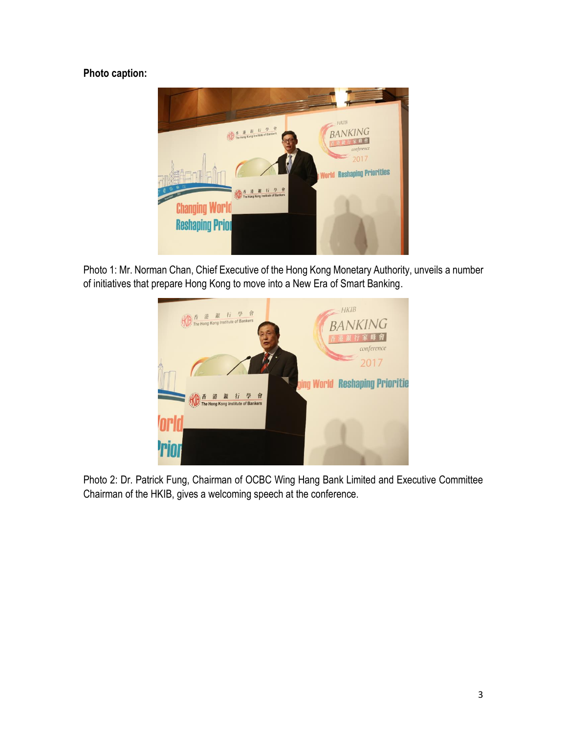# **Photo caption:**



Photo 1: Mr. Norman Chan, Chief Executive of the Hong Kong Monetary Authority, unveils a number of initiatives that prepare Hong Kong to move into a New Era of Smart Banking.



Photo 2: Dr. Patrick Fung, Chairman of OCBC Wing Hang Bank Limited and Executive Committee Chairman of the HKIB, gives a welcoming speech at the conference.